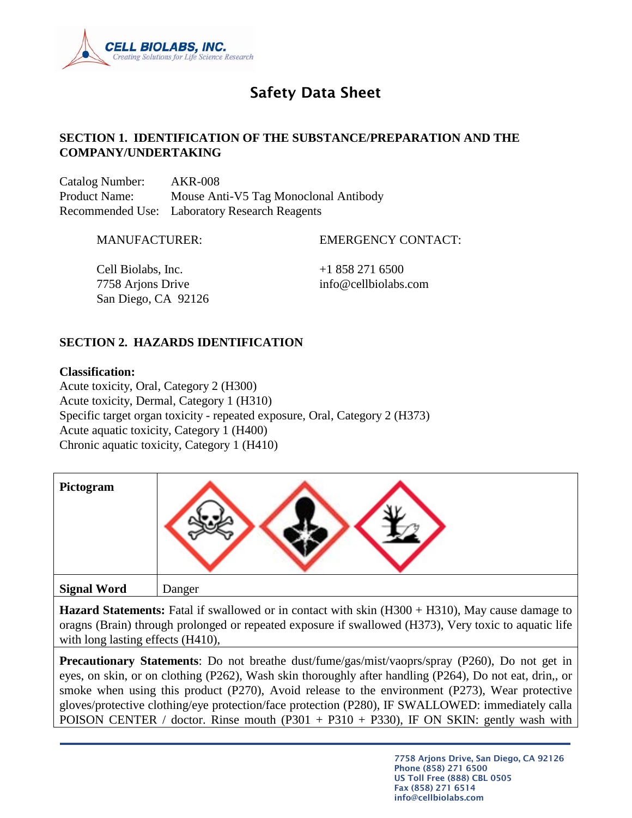

# Safety Data Sheet

## **SECTION 1. IDENTIFICATION OF THE SUBSTANCE/PREPARATION AND THE COMPANY/UNDERTAKING**

Catalog Number: AKR-008 Product Name: Mouse Anti-V5 Tag Monoclonal Antibody Recommended Use: Laboratory Research Reagents

MANUFACTURER: EMERGENCY CONTACT:

Cell Biolabs, Inc.  $+18582716500$ 7758 Arjons Drive info@cellbiolabs.com San Diego, CA 92126

# **SECTION 2. HAZARDS IDENTIFICATION**

#### **Classification:**

Acute toxicity, Oral, Category 2 (H300) Acute toxicity, Dermal, Category 1 (H310) Specific target organ toxicity - repeated exposure, Oral, Category 2 (H373) Acute aquatic toxicity, Category 1 (H400) Chronic aquatic toxicity, Category 1 (H410)

| Pictogram          |        |
|--------------------|--------|
| <b>Signal Word</b> | Danger |

**Hazard Statements:** Fatal if swallowed or in contact with skin (H300 + H310), May cause damage to oragns (Brain) through prolonged or repeated exposure if swallowed (H373), Very toxic to aquatic life with long lasting effects (H410),

**Precautionary Statements**: Do not breathe dust/fume/gas/mist/vaoprs/spray (P260), Do not get in eyes, on skin, or on clothing (P262), Wash skin thoroughly after handling (P264), Do not eat, drin,, or smoke when using this product (P270), Avoid release to the environment (P273), Wear protective gloves/protective clothing/eye protection/face protection (P280), IF SWALLOWED: immediately calla POISON CENTER / doctor. Rinse mouth  $(P301 + P310 + P330)$ , IF ON SKIN: gently wash with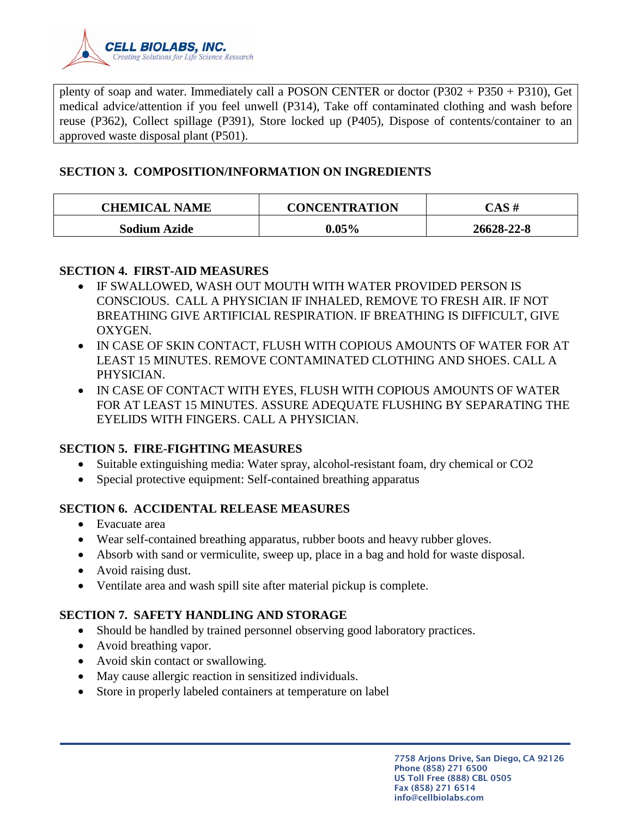

plenty of soap and water. Immediately call a POSON CENTER or doctor (P302 + P350 + P310), Get medical advice/attention if you feel unwell (P314), Take off contaminated clothing and wash before reuse (P362), Collect spillage (P391), Store locked up (P405), Dispose of contents/container to an approved waste disposal plant (P501).

## **SECTION 3. COMPOSITION/INFORMATION ON INGREDIENTS**

| <b>CHEMICAL NAME</b> | <b>CONCENTRATION</b> | $\begin{array}{cc} \textbf{CAS} \; \textbf{\#} \end{array}$ |
|----------------------|----------------------|-------------------------------------------------------------|
| <b>Sodium Azide</b>  | $0.05\%$             | 26628-22-8                                                  |

## **SECTION 4. FIRST-AID MEASURES**

- IF SWALLOWED, WASH OUT MOUTH WITH WATER PROVIDED PERSON IS CONSCIOUS. CALL A PHYSICIAN IF INHALED, REMOVE TO FRESH AIR. IF NOT BREATHING GIVE ARTIFICIAL RESPIRATION. IF BREATHING IS DIFFICULT, GIVE OXYGEN.
- IN CASE OF SKIN CONTACT, FLUSH WITH COPIOUS AMOUNTS OF WATER FOR AT LEAST 15 MINUTES. REMOVE CONTAMINATED CLOTHING AND SHOES. CALL A PHYSICIAN.
- IN CASE OF CONTACT WITH EYES, FLUSH WITH COPIOUS AMOUNTS OF WATER FOR AT LEAST 15 MINUTES. ASSURE ADEQUATE FLUSHING BY SEPARATING THE EYELIDS WITH FINGERS. CALL A PHYSICIAN.

## **SECTION 5. FIRE-FIGHTING MEASURES**

- Suitable extinguishing media: Water spray, alcohol-resistant foam, dry chemical or CO2
- Special protective equipment: Self-contained breathing apparatus

# **SECTION 6. ACCIDENTAL RELEASE MEASURES**

- Evacuate area
- Wear self-contained breathing apparatus, rubber boots and heavy rubber gloves.
- Absorb with sand or vermiculite, sweep up, place in a bag and hold for waste disposal.
- Avoid raising dust.
- Ventilate area and wash spill site after material pickup is complete.

# **SECTION 7. SAFETY HANDLING AND STORAGE**

- Should be handled by trained personnel observing good laboratory practices.
- Avoid breathing vapor.
- Avoid skin contact or swallowing.
- May cause allergic reaction in sensitized individuals.
- Store in properly labeled containers at temperature on label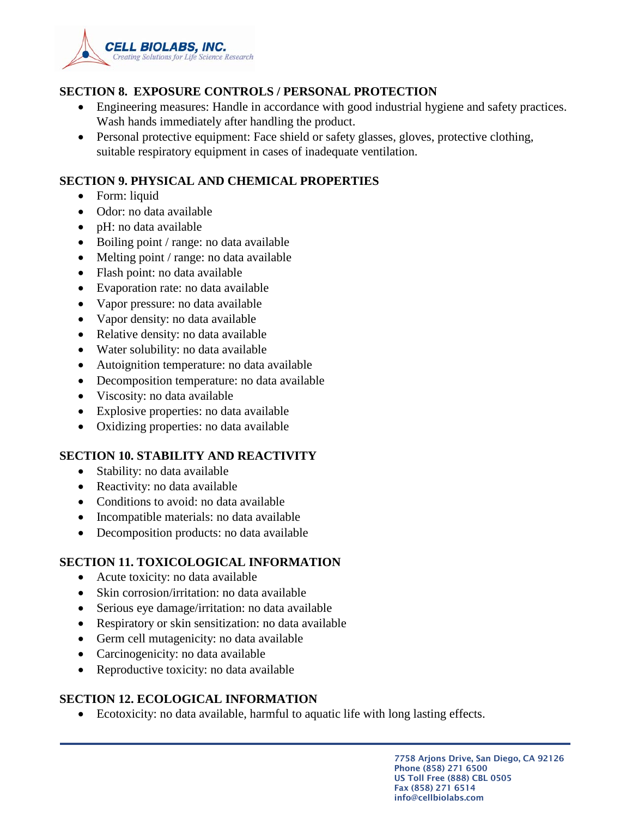

## **SECTION 8. EXPOSURE CONTROLS / PERSONAL PROTECTION**

- Engineering measures: Handle in accordance with good industrial hygiene and safety practices. Wash hands immediately after handling the product.
- Personal protective equipment: Face shield or safety glasses, gloves, protective clothing, suitable respiratory equipment in cases of inadequate ventilation.

## **SECTION 9. PHYSICAL AND CHEMICAL PROPERTIES**

- Form: liquid
- Odor: no data available
- pH: no data available
- Boiling point / range: no data available
- Melting point / range: no data available
- Flash point: no data available
- Evaporation rate: no data available
- Vapor pressure: no data available
- Vapor density: no data available
- Relative density: no data available
- Water solubility: no data available
- Autoignition temperature: no data available
- Decomposition temperature: no data available
- Viscosity: no data available
- Explosive properties: no data available
- Oxidizing properties: no data available

## **SECTION 10. STABILITY AND REACTIVITY**

- Stability: no data available
- Reactivity: no data available
- Conditions to avoid: no data available
- Incompatible materials: no data available
- Decomposition products: no data available

## **SECTION 11. TOXICOLOGICAL INFORMATION**

- Acute toxicity: no data available
- Skin corrosion/irritation: no data available
- Serious eye damage/irritation: no data available
- Respiratory or skin sensitization: no data available
- Germ cell mutagenicity: no data available
- Carcinogenicity: no data available
- Reproductive toxicity: no data available

## **SECTION 12. ECOLOGICAL INFORMATION**

• Ecotoxicity: no data available, harmful to aquatic life with long lasting effects.